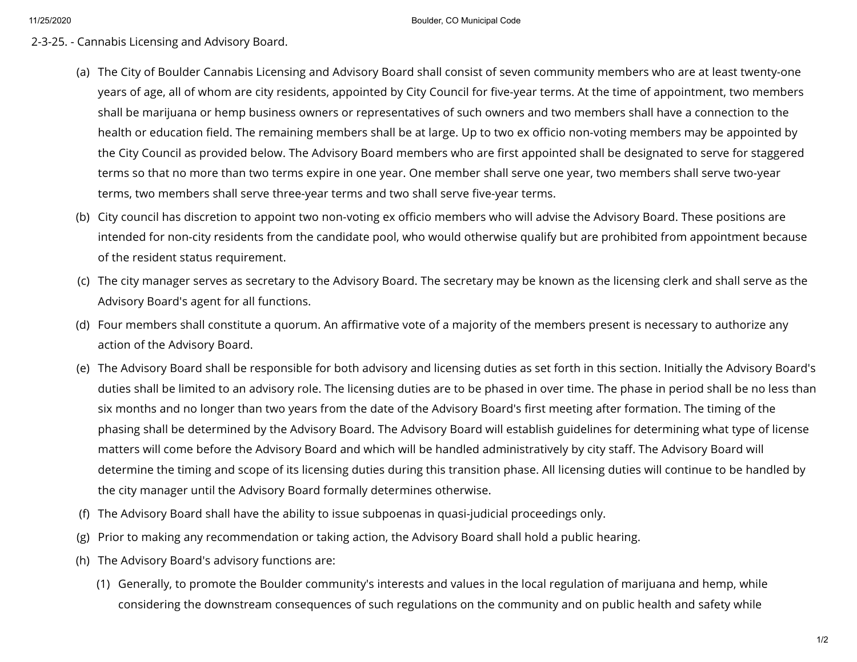## 2-3-25. - Cannabis Licensing and Advisory Board.

- (a) The City of Boulder Cannabis Licensing and Advisory Board shall consist of seven community members who are at least twenty-one years of age, all of whom are city residents, appointed by City Council for five-year terms. At the time of appointment, two members shall be marijuana or hemp business owners or representatives of such owners and two members shall have a connection to the health or education field. The remaining members shall be at large. Up to two ex officio non-voting members may be appointed by the City Council as provided below. The Advisory Board members who are first appointed shall be designated to serve for staggered terms so that no more than two terms expire in one year. One member shall serve one year, two members shall serve two-year terms, two members shall serve three-year terms and two shall serve five-year terms.
- (b) City council has discretion to appoint two non-voting ex officio members who will advise the Advisory Board. These positions are intended for non-city residents from the candidate pool, who would otherwise qualify but are prohibited from appointment because of the resident status requirement.
- (c) The city manager serves as secretary to the Advisory Board. The secretary may be known as the licensing clerk and shall serve as the Advisory Board's agent for all functions.
- (d) Four members shall constitute a quorum. An affirmative vote of a majority of the members present is necessary to authorize any action of the Advisory Board.
- (e) The Advisory Board shall be responsible for both advisory and licensing duties as set forth in this section. Initially the Advisory Board's duties shall be limited to an advisory role. The licensing duties are to be phased in over time. The phase in period shall be no less than six months and no longer than two years from the date of the Advisory Board's first meeting after formation. The timing of the phasing shall be determined by the Advisory Board. The Advisory Board will establish guidelines for determining what type of license matters will come before the Advisory Board and which will be handled administratively by city staff. The Advisory Board will determine the timing and scope of its licensing duties during this transition phase. All licensing duties will continue to be handled by the city manager until the Advisory Board formally determines otherwise.
- (f) The Advisory Board shall have the ability to issue subpoenas in quasi-judicial proceedings only.
- (g) Prior to making any recommendation or taking action, the Advisory Board shall hold a public hearing.
- (h) The Advisory Board's advisory functions are:
	- (1) Generally, to promote the Boulder community's interests and values in the local regulation of marijuana and hemp, while considering the downstream consequences of such regulations on the community and on public health and safety while